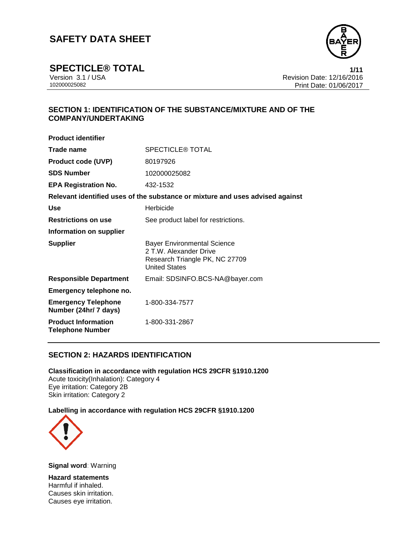

**SPECTICLE® TOTAL 1/11**<br>Version 3.1 / USA **1/11**<br>Revision Date: 12/16/2016 Version 3.1 / USA Revision Date: 12/16/2016<br>102000025082 Print Date: 01/06/2017 Print Date: 01/06/2017

# **SECTION 1: IDENTIFICATION OF THE SUBSTANCE/MIXTURE AND OF THE COMPANY/UNDERTAKING**

| <b>Product identifier</b>                             |                                                                                                                        |
|-------------------------------------------------------|------------------------------------------------------------------------------------------------------------------------|
| Trade name                                            | <b>SPECTICLE® TOTAL</b>                                                                                                |
| <b>Product code (UVP)</b>                             | 80197926                                                                                                               |
| <b>SDS Number</b>                                     | 102000025082                                                                                                           |
| <b>EPA Registration No.</b>                           | 432-1532                                                                                                               |
|                                                       | Relevant identified uses of the substance or mixture and uses advised against                                          |
| <b>Use</b>                                            | Herbicide                                                                                                              |
| <b>Restrictions on use</b>                            | See product label for restrictions.                                                                                    |
| Information on supplier                               |                                                                                                                        |
| <b>Supplier</b>                                       | <b>Bayer Environmental Science</b><br>2 T.W. Alexander Drive<br>Research Triangle PK, NC 27709<br><b>United States</b> |
| <b>Responsible Department</b>                         | Email: SDSINFO.BCS-NA@bayer.com                                                                                        |
| Emergency telephone no.                               |                                                                                                                        |
| <b>Emergency Telephone</b><br>Number (24hr/ 7 days)   | 1-800-334-7577                                                                                                         |
| <b>Product Information</b><br><b>Telephone Number</b> | 1-800-331-2867                                                                                                         |

## **SECTION 2: HAZARDS IDENTIFICATION**

**Classification in accordance with regulation HCS 29CFR §1910.1200** Acute toxicity(Inhalation): Category 4 Eye irritation: Category 2B Skin irritation: Category 2

### **Labelling in accordance with regulation HCS 29CFR §1910.1200**



**Signal word**: Warning

**Hazard statements** Harmful if inhaled. Causes skin irritation. Causes eye irritation.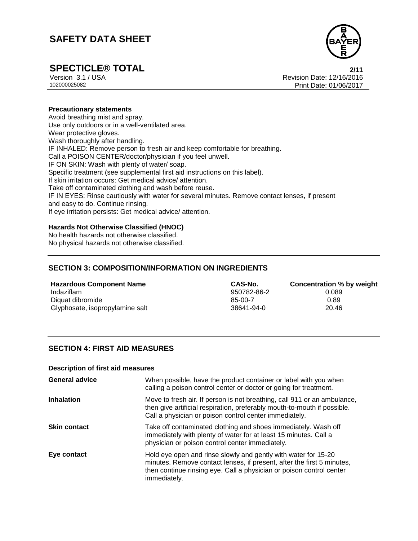

**SPECTICLE® TOTAL**<br>
Version 3.1 / USA **2/11**<br>
Revision Date: 12/16/2016 Version 3.1 / USA Revision Date: 12/16/2016<br>102000025082<br>Print Date: 01/06/2017 Print Date: 01/06/2017

### **Precautionary statements**

Avoid breathing mist and spray. Use only outdoors or in a well-ventilated area. Wear protective gloves. Wash thoroughly after handling. IF INHALED: Remove person to fresh air and keep comfortable for breathing. Call a POISON CENTER/doctor/physician if you feel unwell. IF ON SKIN: Wash with plenty of water/ soap. Specific treatment (see supplemental first aid instructions on this label). If skin irritation occurs: Get medical advice/ attention. Take off contaminated clothing and wash before reuse. IF IN EYES: Rinse cautiously with water for several minutes. Remove contact lenses, if present and easy to do. Continue rinsing. If eye irritation persists: Get medical advice/ attention.

### **Hazards Not Otherwise Classified (HNOC)**

No health hazards not otherwise classified. No physical hazards not otherwise classified.

# **SECTION 3: COMPOSITION/INFORMATION ON INGREDIENTS**

**Hazardous Component Name CAS-No. Concentration % by weight** Indaziflam 950782-86-2 0.089 Diquat dibromide 6.89 and the contract of the contract of the contract of the contract of the contract of the contract of the contract of the contract of the contract of the contract of the contract of the contract of the Glyphosate, isopropylamine salt 38641-94-0 38641-94-0

## **SECTION 4: FIRST AID MEASURES**

#### **Description of first aid measures**

| <b>General advice</b> | When possible, have the product container or label with you when<br>calling a poison control center or doctor or going for treatment.                                                                                            |
|-----------------------|----------------------------------------------------------------------------------------------------------------------------------------------------------------------------------------------------------------------------------|
| <b>Inhalation</b>     | Move to fresh air. If person is not breathing, call 911 or an ambulance,<br>then give artificial respiration, preferably mouth-to-mouth if possible.<br>Call a physician or poison control center immediately.                   |
| <b>Skin contact</b>   | Take off contaminated clothing and shoes immediately. Wash off<br>immediately with plenty of water for at least 15 minutes. Call a<br>physician or poison control center immediately.                                            |
| Eye contact           | Hold eye open and rinse slowly and gently with water for 15-20<br>minutes. Remove contact lenses, if present, after the first 5 minutes,<br>then continue rinsing eye. Call a physician or poison control center<br>immediately. |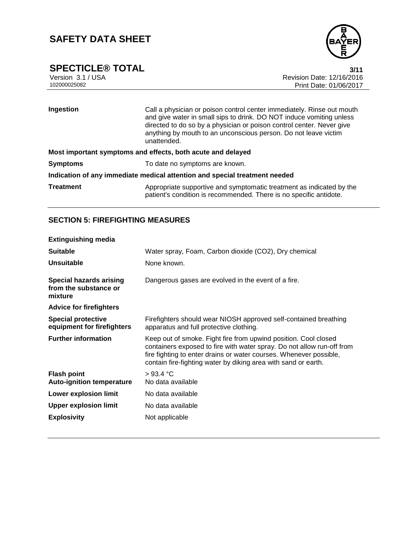

**SPECTICLE® TOTAL 3/11**<br>Version 3.1 / USA **12/16/2016** Version 3.1 / USA Revision Date: 12/16/2016<br>102000025082<br>Print Date: 01/06/2017 Print Date: 01/06/2017

| Ingestion                                                                  | Call a physician or poison control center immediately. Rinse out mouth<br>and give water in small sips to drink. DO NOT induce vomiting unless<br>directed to do so by a physician or poison control center. Never give<br>anything by mouth to an unconscious person. Do not leave victim<br>unattended. |  |
|----------------------------------------------------------------------------|-----------------------------------------------------------------------------------------------------------------------------------------------------------------------------------------------------------------------------------------------------------------------------------------------------------|--|
| Most important symptoms and effects, both acute and delayed                |                                                                                                                                                                                                                                                                                                           |  |
| <b>Symptoms</b>                                                            | To date no symptoms are known.                                                                                                                                                                                                                                                                            |  |
| Indication of any immediate medical attention and special treatment needed |                                                                                                                                                                                                                                                                                                           |  |
| <b>Treatment</b>                                                           | Appropriate supportive and symptomatic treatment as indicated by the<br>patient's condition is recommended. There is no specific antidote.                                                                                                                                                                |  |

# **SECTION 5: FIREFIGHTING MEASURES**

| <b>Extinguishing media</b>                                         |                                                                                                                                                                                                                                                                                   |
|--------------------------------------------------------------------|-----------------------------------------------------------------------------------------------------------------------------------------------------------------------------------------------------------------------------------------------------------------------------------|
| <b>Suitable</b>                                                    | Water spray, Foam, Carbon dioxide (CO2), Dry chemical                                                                                                                                                                                                                             |
| <b>Unsuitable</b>                                                  | None known.                                                                                                                                                                                                                                                                       |
| <b>Special hazards arising</b><br>from the substance or<br>mixture | Dangerous gases are evolved in the event of a fire.                                                                                                                                                                                                                               |
| <b>Advice for firefighters</b>                                     |                                                                                                                                                                                                                                                                                   |
| <b>Special protective</b><br>equipment for firefighters            | Firefighters should wear NIOSH approved self-contained breathing<br>apparatus and full protective clothing.                                                                                                                                                                       |
| <b>Further information</b>                                         | Keep out of smoke. Fight fire from upwind position. Cool closed<br>containers exposed to fire with water spray. Do not allow run-off from<br>fire fighting to enter drains or water courses. Whenever possible,<br>contain fire-fighting water by diking area with sand or earth. |
| <b>Flash point</b><br><b>Auto-ignition temperature</b>             | $>93.4$ °C<br>No data available                                                                                                                                                                                                                                                   |
| <b>Lower explosion limit</b>                                       | No data available                                                                                                                                                                                                                                                                 |
| <b>Upper explosion limit</b>                                       | No data available                                                                                                                                                                                                                                                                 |
| <b>Explosivity</b>                                                 | Not applicable                                                                                                                                                                                                                                                                    |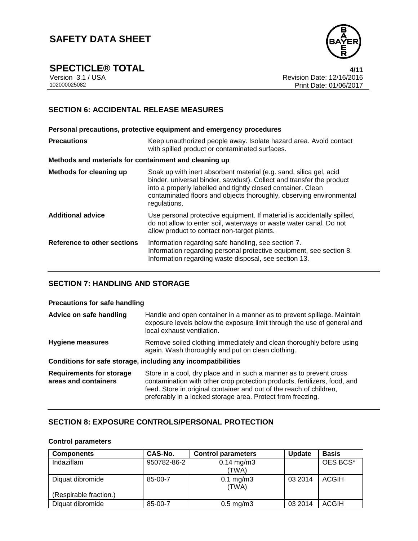

**SPECTICLE® TOTAL 4/11**

Version 3.1 / USA Revision Date: 12/16/2016<br>102000025082<br>Print Date: 01/06/2017 Print Date: 01/06/2017

## **SECTION 6: ACCIDENTAL RELEASE MEASURES**

**Personal precautions, protective equipment and emergency procedures Precautions Keep unauthorized people away. Isolate hazard area. Avoid contact** with spilled product or contaminated surfaces. **Methods and materials for containment and cleaning up Methods for cleaning up** Soak up with inert absorbent material (e.g. sand, silica gel, acid binder, universal binder, sawdust). Collect and transfer the product into a properly labelled and tightly closed container. Clean contaminated floors and objects thoroughly, observing environmental regulations. **Additional advice** Use personal protective equipment. If material is accidentally spilled, do not allow to enter soil, waterways or waste water canal. Do not allow product to contact non-target plants. **Reference to other sections** Information regarding safe handling, see section 7. Information regarding personal protective equipment, see section 8. Information regarding waste disposal, see section 13.

## **SECTION 7: HANDLING AND STORAGE**

#### **Precautions for safe handling**

| Advice on safe handling                                 | Handle and open container in a manner as to prevent spillage. Maintain<br>exposure levels below the exposure limit through the use of general and<br>local exhaust ventilation.                                                                                                        |
|---------------------------------------------------------|----------------------------------------------------------------------------------------------------------------------------------------------------------------------------------------------------------------------------------------------------------------------------------------|
| Hygiene measures                                        | Remove soiled clothing immediately and clean thoroughly before using<br>again. Wash thoroughly and put on clean clothing.                                                                                                                                                              |
|                                                         | Conditions for safe storage, including any incompatibilities                                                                                                                                                                                                                           |
| <b>Requirements for storage</b><br>areas and containers | Store in a cool, dry place and in such a manner as to prevent cross<br>contamination with other crop protection products, fertilizers, food, and<br>feed. Store in original container and out of the reach of children,<br>preferably in a locked storage area. Protect from freezing. |

## **SECTION 8: EXPOSURE CONTROLS/PERSONAL PROTECTION**

#### **Control parameters**

| <b>Components</b>      | CAS-No.     | <b>Control parameters</b> | <b>Update</b> | <b>Basis</b> |
|------------------------|-------------|---------------------------|---------------|--------------|
| Indaziflam             | 950782-86-2 | $0.14$ mg/m3<br>(TWA)     |               | OES BCS*     |
|                        |             |                           |               |              |
| Diquat dibromide       | 85-00-7     | $0.1$ mg/m $3$<br>(TWA)   | 03 2014       | <b>ACGIH</b> |
| (Respirable fraction.) |             |                           |               |              |
| Diquat dibromide       | 85-00-7     | $0.5$ mg/m $3$            | 03 2014       | <b>ACGIH</b> |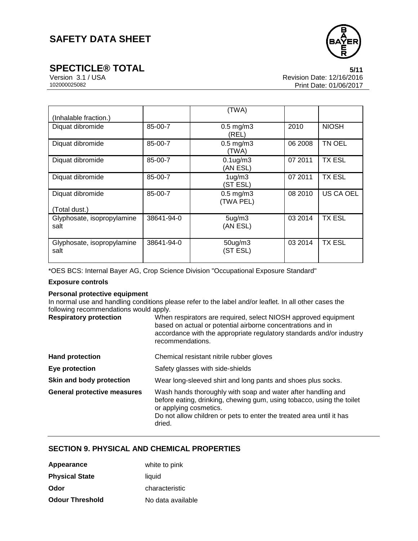

**SPECTICLE® TOTAL** 5/11<br>Version 3.1 / USA 6/11<br>Revision Date: 12/16/2016 Version 3.1 / USA Revision Date: 12/16/2016<br>102000025082 Print Date: 01/06/2017 Print Date: 01/06/2017

| (Inhalable fraction.)              |            | (TWA)                           |         |                  |
|------------------------------------|------------|---------------------------------|---------|------------------|
| Diquat dibromide                   | 85-00-7    | $0.5$ mg/m $3$<br>(REL)         | 2010    | <b>NIOSH</b>     |
| Diquat dibromide                   | 85-00-7    | $0.5$ mg/m $3$<br>(TWA)         | 06 2008 | TN OEL           |
| Diquat dibromide                   | 85-00-7    | $0.1$ ug/m $3$<br>(AN ESL)      | 07 2011 | <b>TX ESL</b>    |
| Diquat dibromide                   | 85-00-7    | 1 <sub>ug</sub> /m3<br>(ST ESL) | 07 2011 | <b>TX ESL</b>    |
| Diquat dibromide<br>(Total dust.)  | 85-00-7    | $0.5$ mg/m $3$<br>(TWA PEL)     | 08 2010 | <b>US CA OEL</b> |
| Glyphosate, isopropylamine<br>salt | 38641-94-0 | 5 <sub>ug</sub> /m3<br>(AN ESL) | 03 2014 | <b>TX ESL</b>    |
| Glyphosate, isopropylamine<br>salt | 38641-94-0 | $50$ ug/m $3$<br>(ST ESL)       | 03 2014 | TX ESL           |

\*OES BCS: Internal Bayer AG, Crop Science Division "Occupational Exposure Standard"

### **Exposure controls**

#### **Personal protective equipment**

In normal use and handling conditions please refer to the label and/or leaflet. In all other cases the following recommendations would apply.

| <b>Respiratory protection</b>      | When respirators are required, select NIOSH approved equipment<br>based on actual or potential airborne concentrations and in<br>accordance with the appropriate regulatory standards and/or industry<br>recommendations.                         |
|------------------------------------|---------------------------------------------------------------------------------------------------------------------------------------------------------------------------------------------------------------------------------------------------|
| <b>Hand protection</b>             | Chemical resistant nitrile rubber gloves                                                                                                                                                                                                          |
| Eye protection                     | Safety glasses with side-shields                                                                                                                                                                                                                  |
| Skin and body protection           | Wear long-sleeved shirt and long pants and shoes plus socks.                                                                                                                                                                                      |
| <b>General protective measures</b> | Wash hands thoroughly with soap and water after handling and<br>before eating, drinking, chewing gum, using tobacco, using the toilet<br>or applying cosmetics.<br>Do not allow children or pets to enter the treated area until it has<br>dried. |

## **SECTION 9. PHYSICAL AND CHEMICAL PROPERTIES**

| Appearance             | white to pink     |
|------------------------|-------------------|
| <b>Physical State</b>  | liquid            |
| Odor                   | characteristic    |
| <b>Odour Threshold</b> | No data available |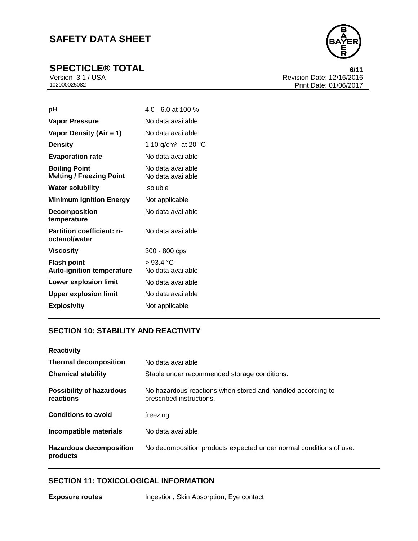

**SPECTICLE® TOTAL** 6/11<br>
Version 3.1 / USA 6/11<br>
Revision Date: 12/16/2016 Version 3.1 / USA Revision Date: 12/16/2016<br>102000025082<br>Print Date: 01/06/2017 Print Date: 01/06/2017

| рH                                                      | $4.0 - 6.0$ at 100 %                   |
|---------------------------------------------------------|----------------------------------------|
| <b>Vapor Pressure</b>                                   | No data available                      |
| Vapor Density (Air = 1)                                 | No data available                      |
| <b>Density</b>                                          | 1.10 g/cm <sup>3</sup> at 20 °C        |
| <b>Evaporation rate</b>                                 | No data available                      |
| <b>Boiling Point</b><br><b>Melting / Freezing Point</b> | No data available<br>No data available |
| <b>Water solubility</b>                                 | soluble                                |
| <b>Minimum Ignition Energy</b>                          | Not applicable                         |
| <b>Decomposition</b><br>temperature                     | No data available                      |
| <b>Partition coefficient: n-</b><br>octanol/water       | No data available                      |
| Viscosity                                               | 300 - 800 cps                          |
| <b>Flash point</b><br><b>Auto-ignition temperature</b>  | >93.4 °C<br>No data available          |
| <b>Lower explosion limit</b>                            | No data available                      |
| <b>Upper explosion limit</b>                            | No data available                      |
| <b>Explosivity</b>                                      | Not applicable                         |

## **SECTION 10: STABILITY AND REACTIVITY**

| <b>Reactivity</b>                            |                                                                                         |
|----------------------------------------------|-----------------------------------------------------------------------------------------|
| <b>Thermal decomposition</b>                 | No data available                                                                       |
| <b>Chemical stability</b>                    | Stable under recommended storage conditions.                                            |
| <b>Possibility of hazardous</b><br>reactions | No hazardous reactions when stored and handled according to<br>prescribed instructions. |
| <b>Conditions to avoid</b>                   | freezing                                                                                |
| <b>Incompatible materials</b>                | No data available                                                                       |
| <b>Hazardous decomposition</b><br>products   | No decomposition products expected under normal conditions of use.                      |

# **SECTION 11: TOXICOLOGICAL INFORMATION**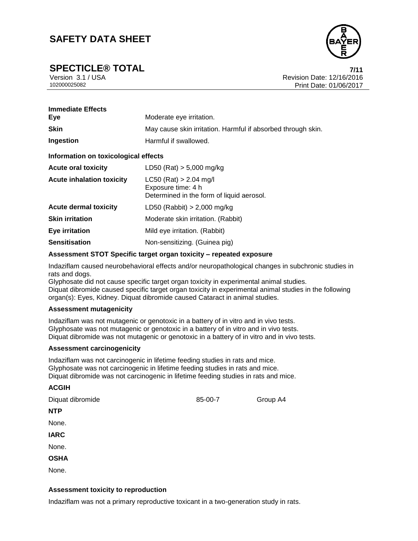**SPECTICLE® TOTAL 7/11**

Version 3.1 / USA Revision Date: 12/16/2016<br>102000025082<br>Print Date: 01/06/2017 Print Date: 01/06/2017

| <b>Immediate Effects</b><br>Eye      | Moderate eye irritation.                                                                    |  |
|--------------------------------------|---------------------------------------------------------------------------------------------|--|
| <b>Skin</b>                          | May cause skin irritation. Harmful if absorbed through skin.                                |  |
| Ingestion                            | Harmful if swallowed.                                                                       |  |
| Information on toxicological effects |                                                                                             |  |
| <b>Acute oral toxicity</b>           | LD50 (Rat) $> 5,000$ mg/kg                                                                  |  |
| <b>Acute inhalation toxicity</b>     | $LC50$ (Rat) > 2.04 mg/l<br>Exposure time: 4 h<br>Determined in the form of liquid aerosol. |  |
| <b>Acute dermal toxicity</b>         | LD50 (Rabbit) $> 2,000$ mg/kg                                                               |  |
| <b>Skin irritation</b>               | Moderate skin irritation. (Rabbit)                                                          |  |
| <b>Eye irritation</b>                | Mild eye irritation. (Rabbit)                                                               |  |
| <b>Sensitisation</b>                 | Non-sensitizing. (Guinea pig)                                                               |  |

#### **Assessment STOT Specific target organ toxicity – repeated exposure**

Indaziflam caused neurobehavioral effects and/or neuropathological changes in subchronic studies in rats and dogs.

Glyphosate did not cause specific target organ toxicity in experimental animal studies. Diquat dibromide caused specific target organ toxicity in experimental animal studies in the following organ(s): Eyes, Kidney. Diquat dibromide caused Cataract in animal studies.

#### **Assessment mutagenicity**

Indaziflam was not mutagenic or genotoxic in a battery of in vitro and in vivo tests. Glyphosate was not mutagenic or genotoxic in a battery of in vitro and in vivo tests. Diquat dibromide was not mutagenic or genotoxic in a battery of in vitro and in vivo tests.

#### **Assessment carcinogenicity**

**ACGIH**

Indaziflam was not carcinogenic in lifetime feeding studies in rats and mice. Glyphosate was not carcinogenic in lifetime feeding studies in rats and mice. Diquat dibromide was not carcinogenic in lifetime feeding studies in rats and mice.

## **Assessment toxicity to reproduction**

Indaziflam was not a primary reproductive toxicant in a two-generation study in rats.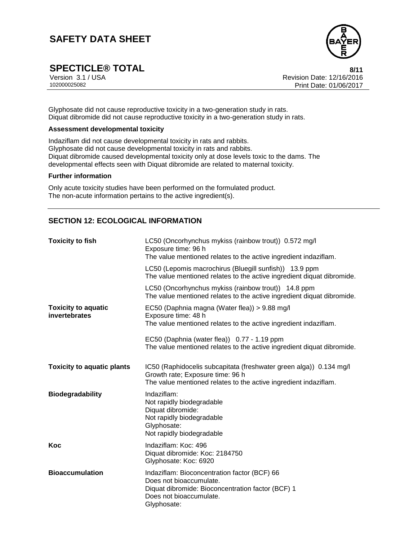

**SPECTICLE® TOTAL** 8/11<br>Version 3.1 / USA 8/11<br>Revision Date: 12/16/2016

Version 3.1 / USA Revision Date: 12/16/2016<br>102000025082<br>Print Date: 01/06/2017 Print Date: 01/06/2017

Glyphosate did not cause reproductive toxicity in a two-generation study in rats. Diquat dibromide did not cause reproductive toxicity in a two-generation study in rats.

### **Assessment developmental toxicity**

Indaziflam did not cause developmental toxicity in rats and rabbits. Glyphosate did not cause developmental toxicity in rats and rabbits. Diquat dibromide caused developmental toxicity only at dose levels toxic to the dams. The developmental effects seen with Diquat dibromide are related to maternal toxicity.

#### **Further information**

Only acute toxicity studies have been performed on the formulated product. The non-acute information pertains to the active ingredient(s).

## **SECTION 12: ECOLOGICAL INFORMATION**

| <b>Toxicity to fish</b>                     | LC50 (Oncorhynchus mykiss (rainbow trout)) 0.572 mg/l<br>Exposure time: 96 h<br>The value mentioned relates to the active ingredient indaziflam.                           |
|---------------------------------------------|----------------------------------------------------------------------------------------------------------------------------------------------------------------------------|
|                                             | LC50 (Lepomis macrochirus (Bluegill sunfish)) 13.9 ppm<br>The value mentioned relates to the active ingredient diquat dibromide.                                           |
|                                             | LC50 (Oncorhynchus mykiss (rainbow trout)) 14.8 ppm<br>The value mentioned relates to the active ingredient diquat dibromide.                                              |
| <b>Toxicity to aquatic</b><br>invertebrates | EC50 (Daphnia magna (Water flea)) > 9.88 mg/l<br>Exposure time: 48 h<br>The value mentioned relates to the active ingredient indaziflam.                                   |
|                                             | EC50 (Daphnia (water flea)) 0.77 - 1.19 ppm<br>The value mentioned relates to the active ingredient diquat dibromide.                                                      |
| <b>Toxicity to aquatic plants</b>           | IC50 (Raphidocelis subcapitata (freshwater green alga)) 0.134 mg/l<br>Growth rate; Exposure time: 96 h<br>The value mentioned relates to the active ingredient indaziflam. |
| <b>Biodegradability</b>                     | Indaziflam:<br>Not rapidly biodegradable<br>Diquat dibromide:<br>Not rapidly biodegradable<br>Glyphosate:<br>Not rapidly biodegradable                                     |
| Koc                                         | Indaziflam: Koc: 496<br>Diquat dibromide: Koc: 2184750<br>Glyphosate: Koc: 6920                                                                                            |
| <b>Bioaccumulation</b>                      | Indaziflam: Bioconcentration factor (BCF) 66<br>Does not bioaccumulate.<br>Diquat dibromide: Bioconcentration factor (BCF) 1<br>Does not bioaccumulate.<br>Glyphosate:     |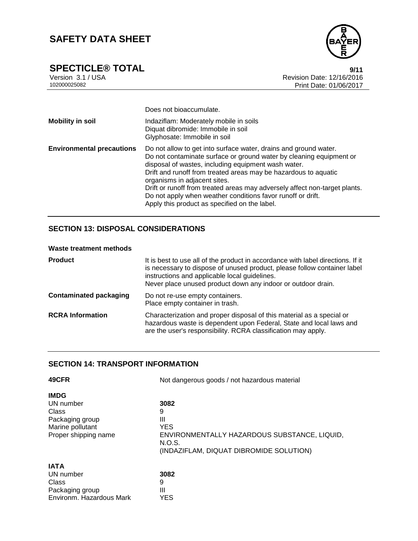

**SPECTICLE® TOTAL** 9/11<br>
Version 3.1 / USA 9/16/2016 Version 3.1 / USA Revision Date: 12/16/2016<br>102000025082<br>Print Date: 01/06/2017 Print Date: 01/06/2017

|                                  | Does not bioaccumulate.                                                                                                                                                                                                                                                                                                                                                                                                                                                                         |
|----------------------------------|-------------------------------------------------------------------------------------------------------------------------------------------------------------------------------------------------------------------------------------------------------------------------------------------------------------------------------------------------------------------------------------------------------------------------------------------------------------------------------------------------|
| <b>Mobility in soil</b>          | Indaziflam: Moderately mobile in soils<br>Diquat dibromide: Immobile in soil<br>Glyphosate: Immobile in soil                                                                                                                                                                                                                                                                                                                                                                                    |
| <b>Environmental precautions</b> | Do not allow to get into surface water, drains and ground water.<br>Do not contaminate surface or ground water by cleaning equipment or<br>disposal of wastes, including equipment wash water.<br>Drift and runoff from treated areas may be hazardous to aquatic<br>organisms in adjacent sites.<br>Drift or runoff from treated areas may adversely affect non-target plants.<br>Do not apply when weather conditions favor runoff or drift.<br>Apply this product as specified on the label. |

# **SECTION 13: DISPOSAL CONSIDERATIONS**

## **Waste treatment methods**

| <b>Product</b>                | It is best to use all of the product in accordance with label directions. If it<br>is necessary to dispose of unused product, please follow container label<br>instructions and applicable local guidelines.<br>Never place unused product down any indoor or outdoor drain. |
|-------------------------------|------------------------------------------------------------------------------------------------------------------------------------------------------------------------------------------------------------------------------------------------------------------------------|
| <b>Contaminated packaging</b> | Do not re-use empty containers.<br>Place empty container in trash.                                                                                                                                                                                                           |
| <b>RCRA Information</b>       | Characterization and proper disposal of this material as a special or<br>hazardous waste is dependent upon Federal, State and local laws and<br>are the user's responsibility. RCRA classification may apply.                                                                |

# **SECTION 14: TRANSPORT INFORMATION**

| 49CFR                    | Not dangerous goods / not hazardous material |  |  |
|--------------------------|----------------------------------------------|--|--|
| <b>IMDG</b>              |                                              |  |  |
| UN number                | 3082                                         |  |  |
| Class                    | 9                                            |  |  |
| Packaging group          | Ш                                            |  |  |
| Marine pollutant         | <b>YES</b>                                   |  |  |
| Proper shipping name     | ENVIRONMENTALLY HAZARDOUS SUBSTANCE, LIQUID, |  |  |
|                          | N.O.S.                                       |  |  |
|                          | (INDAZIFLAM, DIQUAT DIBROMIDE SOLUTION)      |  |  |
| <b>IATA</b>              |                                              |  |  |
| UN number                | 3082                                         |  |  |
| Class                    | 9                                            |  |  |
| Packaging group          | Ш                                            |  |  |
| Environm. Hazardous Mark | YES                                          |  |  |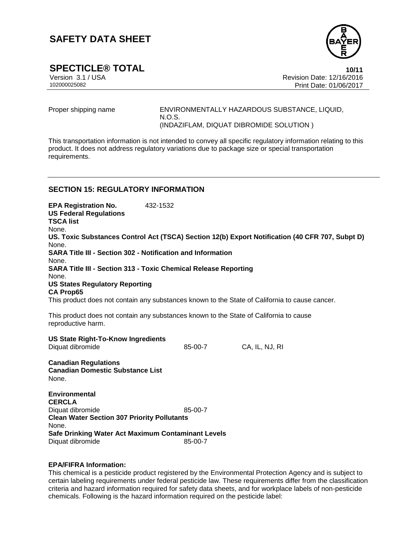

**SPECTICLE® TOTAL** 10/11<br>
Version 3.1 / USA **10/11** Version Date: 12/16/2016 Version 3.1 / USA Revision Date: 12/16/2016<br>102000025082 Print Date: 01/06/2017 Print Date: 01/06/2017

Proper shipping name ENVIRONMENTALLY HAZARDOUS SUBSTANCE, LIQUID, N.O.S. (INDAZIFLAM, DIQUAT DIBROMIDE SOLUTION )

This transportation information is not intended to convey all specific regulatory information relating to this product. It does not address regulatory variations due to package size or special transportation requirements.

### **SECTION 15: REGULATORY INFORMATION**

**EPA Registration No.** 432-1532 **US Federal Regulations TSCA list** None. **US. Toxic Substances Control Act (TSCA) Section 12(b) Export Notification (40 CFR 707, Subpt D)** None. **SARA Title III - Section 302 - Notification and Information** None. **SARA Title III - Section 313 - Toxic Chemical Release Reporting** None. **US States Regulatory Reporting CA Prop65** This product does not contain any substances known to the State of California to cause cancer. This product does not contain any substances known to the State of California to cause reproductive harm. **US State Right-To-Know Ingredients** Diquat dibromide 85-00-7 CA, IL, NJ, RI **Canadian Regulations Canadian Domestic Substance List** None. **Environmental CERCLA**

Diquat dibromide 85-00-7 **Clean Water Section 307 Priority Pollutants** None. **Safe Drinking Water Act Maximum Contaminant Levels** Diquat dibromide 85-00-7

#### **EPA/FIFRA Information:**

This chemical is a pesticide product registered by the Environmental Protection Agency and is subject to certain labeling requirements under federal pesticide law. These requirements differ from the classification criteria and hazard information required for safety data sheets, and for workplace labels of non-pesticide chemicals. Following is the hazard information required on the pesticide label: